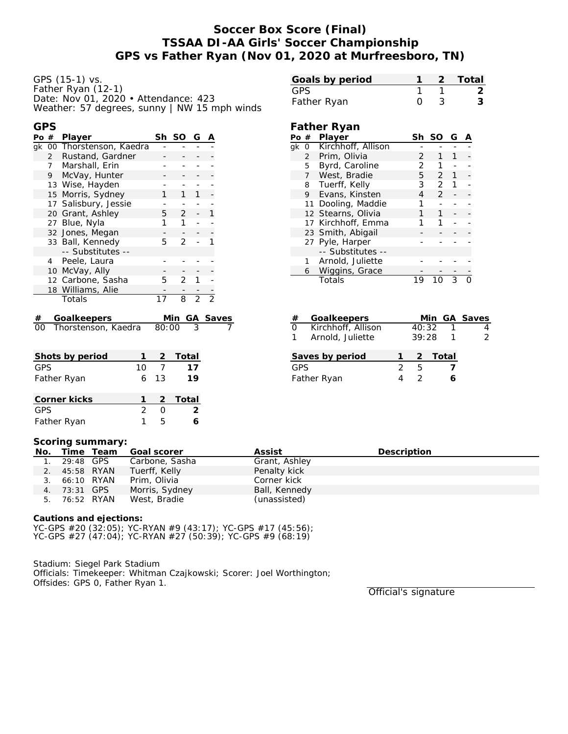# **Soccer Box Score (Final) TSSAA DI-AA Girls' Soccer Championship GPS vs Father Ryan (Nov 01, 2020 at Murfreesboro, TN)**

GPS (15-1) vs. Father Ryan (12-1) Date: Nov 01, 2020 • Attendance: 423 Weather: 57 degrees, sunny | NW 15 mph winds

| ۰.<br>×<br>. . | ۰.<br>٠<br>٠ |  |
|----------------|--------------|--|
|                |              |  |

| Po # |   | Player                    | Sh    | SO.            | G              | Α               |  |
|------|---|---------------------------|-------|----------------|----------------|-----------------|--|
|      |   | gk 00 Thorstenson, Kaedra |       |                |                |                 |  |
|      |   | 2 Rustand, Gardner        |       |                |                |                 |  |
|      |   | 7 Marshall, Erin          |       |                |                |                 |  |
|      | 9 | McVay, Hunter             |       |                |                |                 |  |
|      |   | 13 Wise, Hayden           |       |                |                |                 |  |
|      |   | 15 Morris, Sydney         |       |                |                |                 |  |
|      |   | 17 Salisbury, Jessie      |       |                |                |                 |  |
|      |   | 20 Grant, Ashley          | 5     | $\overline{2}$ |                |                 |  |
|      |   | 27 Blue, Nyla             |       | 1              |                |                 |  |
|      |   | 32 Jones, Megan           |       |                |                |                 |  |
|      |   | 33 Ball, Kennedy          | 5     | 2              |                |                 |  |
|      |   | -- Substitutes --         |       |                |                |                 |  |
|      | 4 | Peele, Laura              |       |                |                |                 |  |
|      |   | 10 McVay, Ally            |       |                |                |                 |  |
|      |   | 12 Carbone, Sasha         | 5.    | 2              |                |                 |  |
|      |   | 18 Williams, Alie         |       |                |                |                 |  |
|      |   | Totals                    | 17    | 8              | $\overline{2}$ | $\mathfrak{D}$  |  |
| #    |   | Goalkeepers               |       | Min.           |                | <b>GA Saves</b> |  |
| OΟ   |   | Thorstenson, Kaedra       | 80:00 |                | 3              |                 |  |
|      |   |                           |       |                |                |                 |  |

| Shots by period |    | 2.   | Total         |
|-----------------|----|------|---------------|
| GPS             | 10 |      | 17            |
| Father Ryan     |    | 6 13 | 19            |
| Corner kicks    |    |      | 2 Total       |
| GPS             | 2  |      | $\mathcal{P}$ |
| Father Ryan     |    | г,   |               |

# **Goals by period 1 2 Total** GPS 1 1 2 Father Ryan **0** 3 3

### **Father Ryan**

| Pο | -#             | Player             | Sh | <b>SO</b>     | G |  |
|----|----------------|--------------------|----|---------------|---|--|
| ak | - 0            | Kirchhoff, Allison |    |               |   |  |
|    | $\overline{2}$ | Prim, Olivia       | 2  |               |   |  |
|    | 5              | Byrd, Caroline     | 2  |               |   |  |
|    | 7              | West, Bradie       | 5. | $\mathcal{P}$ | 1 |  |
|    | 8              | Tuerff, Kelly      | 3  | $\mathcal{P}$ |   |  |
|    | 9              | Evans, Kinsten     | 4  | $\mathcal{P}$ |   |  |
|    | 11             | Dooling, Maddie    | 1  |               |   |  |
|    |                | 12 Stearns, Olivia | 1  |               |   |  |
|    |                | 17 Kirchhoff, Emma | 1  |               |   |  |
|    |                | 23 Smith, Abigail  |    |               |   |  |
|    |                | 27 Pyle, Harper    |    |               |   |  |
|    |                | -- Substitutes --  |    |               |   |  |
|    | $\mathbf{1}$   | Arnold, Juliette   |    |               |   |  |
|    | 6              | Wiggins, Grace     |    |               |   |  |
|    |                | Totals             | 19 |               | 3 |  |

| #            | Goalkeepers        |       | Min GA Saves |   |
|--------------|--------------------|-------|--------------|---|
| $\Omega$     | Kirchhoff, Allison | 40:32 |              |   |
| $\mathbf{1}$ | Arnold, Juliette   | 39:28 |              | 2 |
|              |                    |       |              |   |
|              | Saves by period    |       | 2 Total      |   |
| <b>GPS</b>   |                    | 5     |              |   |
|              | Father Ryan        |       |              |   |

#### **Scoring summary:**

|               |              | No. Time Team Goal scorer | Assist        | Description |
|---------------|--------------|---------------------------|---------------|-------------|
| 1. 29:48 GPS  |              | Carbone, Sasha            | Grant, Ashley |             |
| 2. 45:58 RYAN |              | Tuerff, Kelly             | Penalty kick  |             |
| 3. 66:10 RYAN |              | Prim, Olivia              | Corner kick   |             |
|               | 4. 73:31 GPS | Morris, Sydney            | Ball, Kennedy |             |
| 5. 76:52 RYAN |              | West, Bradie              | (unassisted)  |             |

**Cautions and ejections:**

YC-GPS #20 (32:05); YC-RYAN #9 (43:17); YC-GPS #17 (45:56); YC-GPS #27 (47:04); YC-RYAN #27 (50:39); YC-GPS #9 (68:19)

Stadium: Siegel Park Stadium Officials: Timekeeper: Whitman Czajkowski; Scorer: Joel Worthington; Offsides: GPS 0, Father Ryan 1.

Official's signature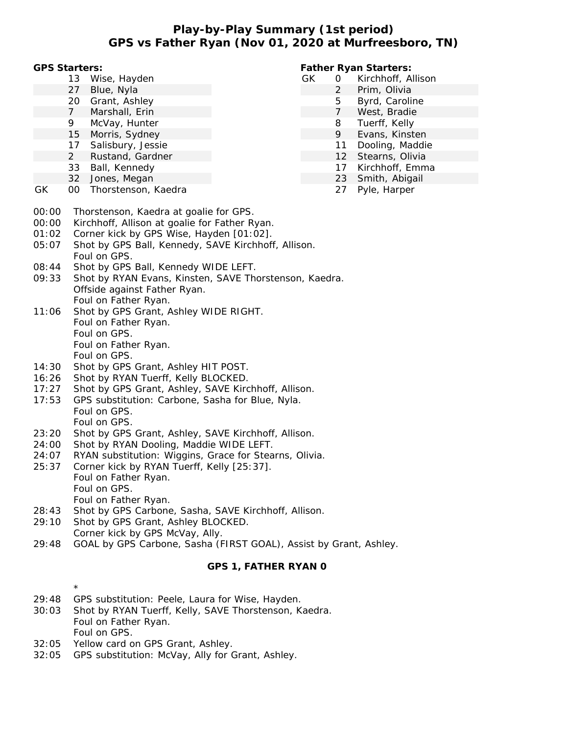### **Play-by-Play Summary (1st period) GPS vs Father Ryan (Nov 01, 2020 at Murfreesboro, TN)**

**GPS Starters:**

- 13 Wise, Hayden
- 27 Blue, Nyla
- 20 Grant, Ashley
- 7 Marshall, Erin
- 9 McVay, Hunter
- 15 Morris, Sydney
- 17 Salisbury, Jessie
- 2 Rustand, Gardner
- 33 Ball, Kennedy
- 32 Jones, Megan
- GK 00 Thorstenson, Kaedra

**Father Ryan Starters:**

- GK 0 Kirchhoff, Allison
	- 2 Prim, Olivia
	- 5 Byrd, Caroline
	- 7 West, Bradie
	- 8 Tuerff, Kelly
	- 9 Evans, Kinsten
	- 11 Dooling, Maddie
	- 12 Stearns, Olivia
	- 17 Kirchhoff, Emma
	- 23 Smith, Abigail
		- 27 Pyle, Harper

- 00:00 Thorstenson, Kaedra at goalie for GPS.
- 00:00 Kirchhoff, Allison at goalie for Father Ryan.
- 01:02 Corner kick by GPS Wise, Hayden [01:02].
- 05:07 Shot by GPS Ball, Kennedy, SAVE Kirchhoff, Allison. Foul on GPS.
- 08:44 Shot by GPS Ball, Kennedy WIDE LEFT.
- 09:33 Shot by RYAN Evans, Kinsten, SAVE Thorstenson, Kaedra. Offside against Father Ryan. Foul on Father Ryan.
- 11:06 Shot by GPS Grant, Ashley WIDE RIGHT. Foul on Father Ryan. Foul on GPS. Foul on Father Ryan. Foul on GPS.
- 14:30 Shot by GPS Grant, Ashley HIT POST.
- 16:26 Shot by RYAN Tuerff, Kelly BLOCKED.
- 17:27 Shot by GPS Grant, Ashley, SAVE Kirchhoff, Allison.
- 17:53 GPS substitution: Carbone, Sasha for Blue, Nyla. Foul on GPS. Foul on GPS.
- 23:20 Shot by GPS Grant, Ashley, SAVE Kirchhoff, Allison.
- 24:00 Shot by RYAN Dooling, Maddie WIDE LEFT.
- 24:07 RYAN substitution: Wiggins, Grace for Stearns, Olivia.
- 25:37 Corner kick by RYAN Tuerff, Kelly [25:37]. Foul on Father Ryan. Foul on GPS. Foul on Father Ryan.
- 28:43 Shot by GPS Carbone, Sasha, SAVE Kirchhoff, Allison.
- 29:10 Shot by GPS Grant, Ashley BLOCKED. Corner kick by GPS McVay, Ally.
- 29:48 GOAL by GPS Carbone, Sasha (FIRST GOAL), Assist by Grant, Ashley.

### **GPS 1, FATHER RYAN 0**

- \* 29:48 GPS substitution: Peele, Laura for Wise, Hayden.
- 30:03 Shot by RYAN Tuerff, Kelly, SAVE Thorstenson, Kaedra. Foul on Father Ryan. Foul on GPS.
- 32:05 Yellow card on GPS Grant, Ashley.
- 32:05 GPS substitution: McVay, Ally for Grant, Ashley.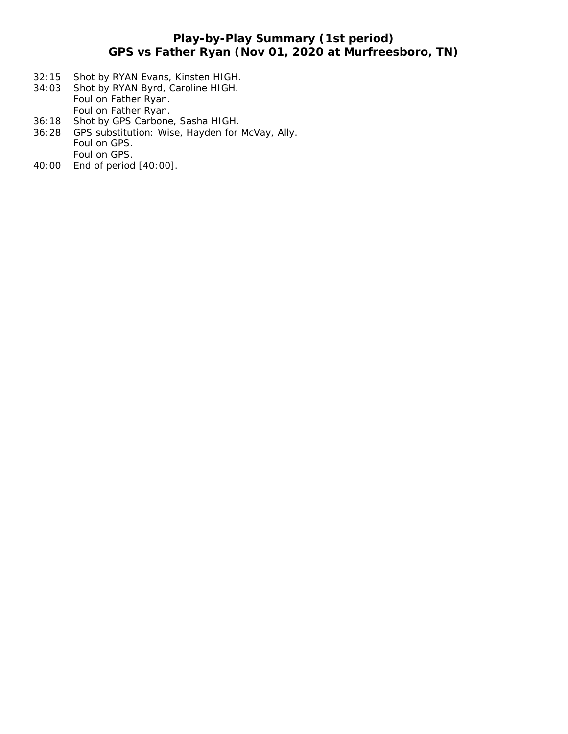# **Play-by-Play Summary (1st period) GPS vs Father Ryan (Nov 01, 2020 at Murfreesboro, TN)**

- 32:15 Shot by RYAN Evans, Kinsten HIGH.<br>34:03 Shot by RYAN Byrd, Caroline HIGH.
- Shot by RYAN Byrd, Caroline HIGH. Foul on Father Ryan. Foul on Father Ryan.
- 36:18 Shot by GPS Carbone, Sasha HIGH.<br>36:28 GPS substitution: Wise, Hayden for I
- GPS substitution: Wise, Hayden for McVay, Ally. Foul on GPS. Foul on GPS.
- 40:00 End of period [40:00].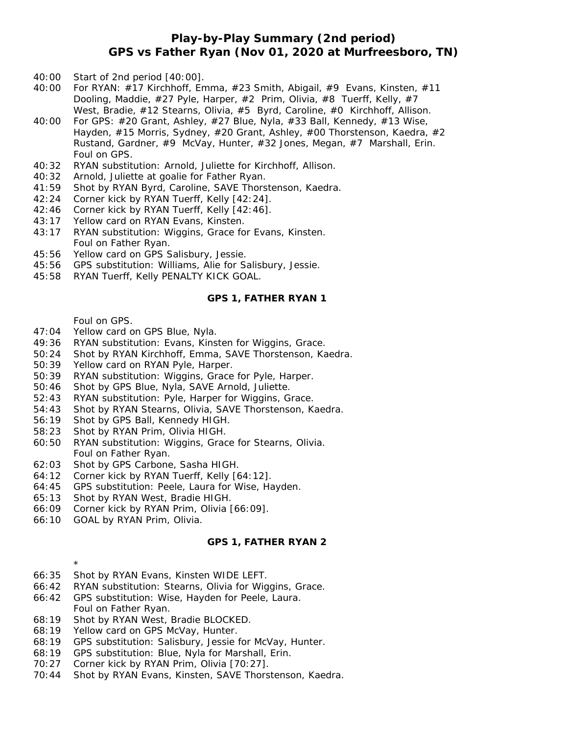### **Play-by-Play Summary (2nd period) GPS vs Father Ryan (Nov 01, 2020 at Murfreesboro, TN)**

- 40:00 Start of 2nd period [40:00].
- 40:00 For RYAN: #17 Kirchhoff, Emma, #23 Smith, Abigail, #9 Evans, Kinsten, #11 Dooling, Maddie, #27 Pyle, Harper, #2 Prim, Olivia, #8 Tuerff, Kelly, #7 West, Bradie, #12 Stearns, Olivia, #5 Byrd, Caroline, #0 Kirchhoff, Allison.
- 40:00 For GPS: #20 Grant, Ashley, #27 Blue, Nyla, #33 Ball, Kennedy, #13 Wise, Hayden, #15 Morris, Sydney, #20 Grant, Ashley, #00 Thorstenson, Kaedra, #2 Rustand, Gardner, #9 McVay, Hunter, #32 Jones, Megan, #7 Marshall, Erin. Foul on GPS.
- 40:32 RYAN substitution: Arnold, Juliette for Kirchhoff, Allison.
- 40:32 Arnold, Juliette at goalie for Father Ryan.
- 41:59 Shot by RYAN Byrd, Caroline, SAVE Thorstenson, Kaedra.
- 42:24 Corner kick by RYAN Tuerff, Kelly [42:24].
- 42:46 Corner kick by RYAN Tuerff, Kelly [42:46].
- 43:17 Yellow card on RYAN Evans, Kinsten.
- 43:17 RYAN substitution: Wiggins, Grace for Evans, Kinsten. Foul on Father Ryan.
- 45:56 Yellow card on GPS Salisbury, Jessie.
- 45:56 GPS substitution: Williams, Alie for Salisbury, Jessie.
- 45:58 RYAN Tuerff, Kelly PENALTY KICK GOAL.

#### **GPS 1, FATHER RYAN 1**

Foul on GPS.

- 47:04 Yellow card on GPS Blue, Nyla.
- 49:36 RYAN substitution: Evans, Kinsten for Wiggins, Grace.
- 50:24 Shot by RYAN Kirchhoff, Emma, SAVE Thorstenson, Kaedra.
- 50:39 Yellow card on RYAN Pyle, Harper.
- 50:39 RYAN substitution: Wiggins, Grace for Pyle, Harper.
- 50:46 Shot by GPS Blue, Nyla, SAVE Arnold, Juliette.
- 52:43 RYAN substitution: Pyle, Harper for Wiggins, Grace.
- 54:43 Shot by RYAN Stearns, Olivia, SAVE Thorstenson, Kaedra.
- 56:19 Shot by GPS Ball, Kennedy HIGH.
- 58:23 Shot by RYAN Prim, Olivia HIGH.
- 60:50 RYAN substitution: Wiggins, Grace for Stearns, Olivia. Foul on Father Ryan.
- 62:03 Shot by GPS Carbone, Sasha HIGH.
- 64:12 Corner kick by RYAN Tuerff, Kelly [64:12].
- 64:45 GPS substitution: Peele, Laura for Wise, Hayden.
- 65:13 Shot by RYAN West, Bradie HIGH.
- 66:09 Corner kick by RYAN Prim, Olivia [66:09].
- 66:10 GOAL by RYAN Prim, Olivia.

\*

### **GPS 1, FATHER RYAN 2**

- 66:35 Shot by RYAN Evans, Kinsten WIDE LEFT.
- 66:42 RYAN substitution: Stearns, Olivia for Wiggins, Grace.
- 66:42 GPS substitution: Wise, Hayden for Peele, Laura. Foul on Father Ryan.
- 68:19 Shot by RYAN West, Bradie BLOCKED.
- 68:19 Yellow card on GPS McVay, Hunter.
- 68:19 GPS substitution: Salisbury, Jessie for McVay, Hunter.
- 68:19 GPS substitution: Blue, Nyla for Marshall, Erin.
- 70:27 Corner kick by RYAN Prim, Olivia [70:27].
- 70:44 Shot by RYAN Evans, Kinsten, SAVE Thorstenson, Kaedra.